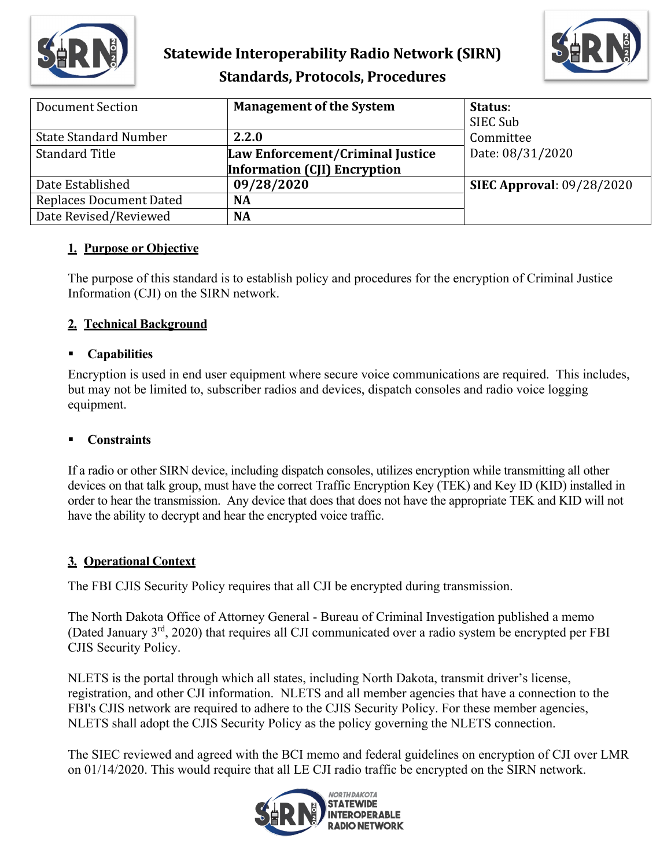

# **Statewide Interoperability Radio Network (SIRN) Standards, Protocols, Procedures**



| <b>Document Section</b>        | <b>Management of the System</b>     | Status:<br>SIEC Sub              |
|--------------------------------|-------------------------------------|----------------------------------|
| <b>State Standard Number</b>   | 2.2.0                               | Committee                        |
| <b>Standard Title</b>          | Law Enforcement/Criminal Justice    | Date: 08/31/2020                 |
|                                | <b>Information (CJI) Encryption</b> |                                  |
| Date Established               | 09/28/2020                          | <b>SIEC Approval: 09/28/2020</b> |
| <b>Replaces Document Dated</b> | <b>NA</b>                           |                                  |
| Date Revised/Reviewed          | <b>NA</b>                           |                                  |

#### **1. Purpose or Objective**

The purpose of this standard is to establish policy and procedures for the encryption of Criminal Justice Information (CJI) on the SIRN network.

#### **2. Technical Background**

## **Capabilities**

Encryption is used in end user equipment where secure voice communications are required. This includes, but may not be limited to, subscriber radios and devices, dispatch consoles and radio voice logging equipment.

### **Constraints**

If a radio or other SIRN device, including dispatch consoles, utilizes encryption while transmitting all other devices on that talk group, must have the correct Traffic Encryption Key (TEK) and Key ID (KID) installed in order to hear the transmission. Any device that does that does not have the appropriate TEK and KID will not have the ability to decrypt and hear the encrypted voice traffic.

#### **3. Operational Context**

The FBI CJIS Security Policy requires that all CJI be encrypted during transmission.

The North Dakota Office of Attorney General - Bureau of Criminal Investigation published a memo (Dated January 3rd, 2020) that requires all CJI communicated over a radio system be encrypted per FBI CJIS Security Policy.

NLETS is the portal through which all states, including North Dakota, transmit driver's license, registration, and other CJI information. NLETS and all member agencies that have a connection to the FBI's CJIS network are required to adhere to the CJIS Security Policy. For these member agencies, NLETS shall adopt the CJIS Security Policy as the policy governing the NLETS connection.

The SIEC reviewed and agreed with the BCI memo and federal guidelines on encryption of CJI over LMR on 01/14/2020. This would require that all LE CJI radio traffic be encrypted on the SIRN network.